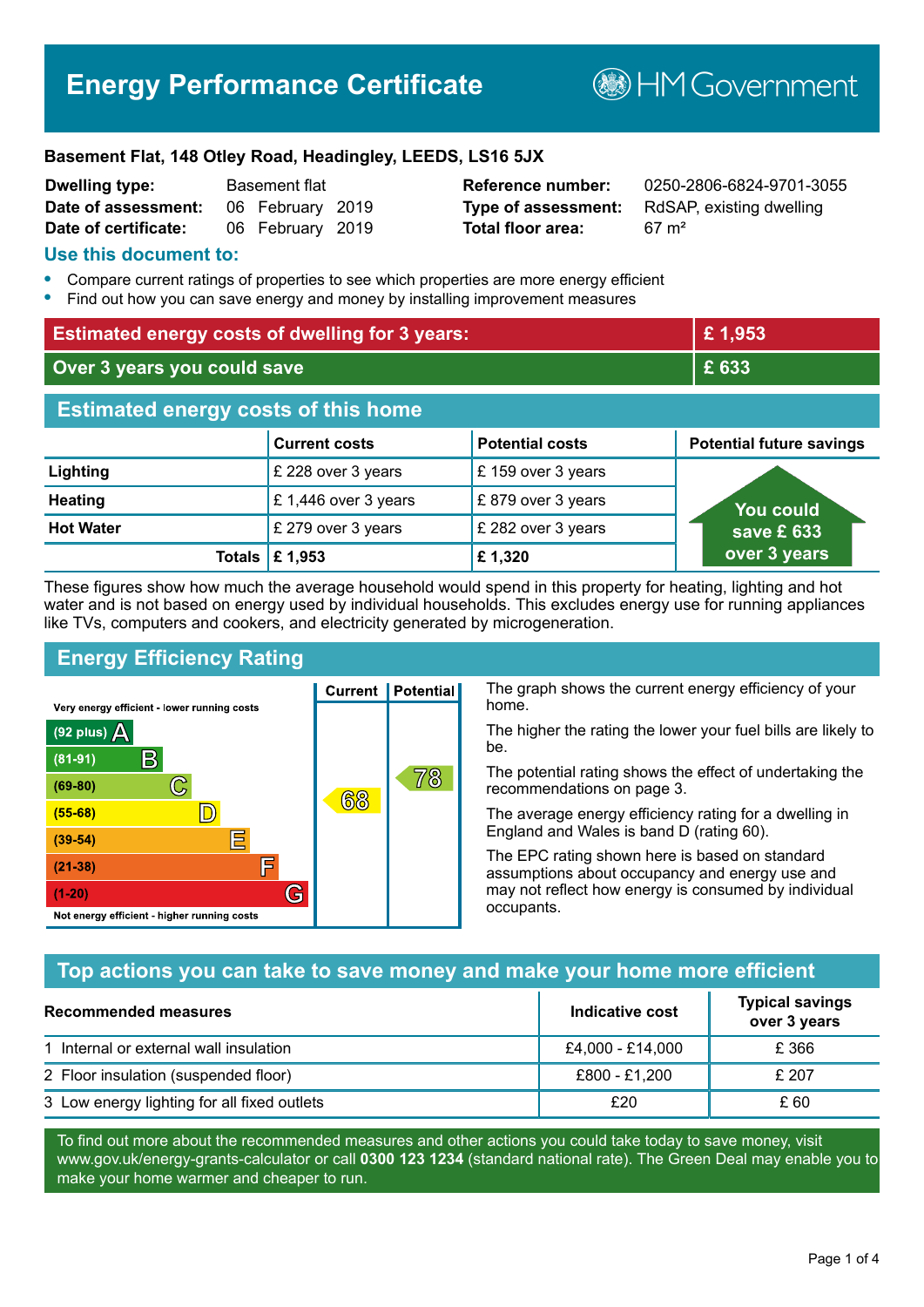# **Energy Performance Certificate**

**B**HMGovernment

#### **Basement Flat, 148 Otley Road, Headingley, LEEDS, LS16 5JX**

| <b>Dwelling type:</b> | <b>Basement flat</b> |                  |  |
|-----------------------|----------------------|------------------|--|
| Date of assessment:   |                      | 06 February 2019 |  |
| Date of certificate:  |                      | 06 February 2019 |  |

**Total floor area:** 67 m<sup>2</sup>

**Reference number:** 0250-2806-6824-9701-3055 **Type of assessment:** RdSAP, existing dwelling

#### **Use this document to:**

- **•** Compare current ratings of properties to see which properties are more energy efficient
- **•** Find out how you can save energy and money by installing improvement measures

| <b>Estimated energy costs of dwelling for 3 years:</b> |                           |                        | £1,953                          |
|--------------------------------------------------------|---------------------------|------------------------|---------------------------------|
| Over 3 years you could save                            |                           | £ 633                  |                                 |
| <b>Estimated energy costs of this home</b>             |                           |                        |                                 |
|                                                        | <b>Current costs</b>      | <b>Potential costs</b> | <b>Potential future savings</b> |
| Lighting                                               | £ 228 over 3 years        | £159 over 3 years      |                                 |
| <b>Heating</b>                                         | £1,446 over 3 years       | £879 over 3 years      | You could                       |
| <b>Hot Water</b>                                       | £ 279 over 3 years        | £ 282 over 3 years     | save £633                       |
|                                                        | Totals $\mathsf{E}$ 1,953 | £1,320                 | over 3 years                    |

These figures show how much the average household would spend in this property for heating, lighting and hot water and is not based on energy used by individual households. This excludes energy use for running appliances like TVs, computers and cookers, and electricity generated by microgeneration.

**Current | Potential** 

68

## **Energy Efficiency Rating**

 $\mathbb{C}$ 

 $\mathbb{D}$ 

E

庐

G

Very energy efficient - lower running costs

R

Not energy efficient - higher running costs

 $(92$  plus)

 $(81 - 91)$ 

 $(69 - 80)$ 

 $(55-68)$ 

 $(39 - 54)$ 

 $(21-38)$ 

 $(1-20)$ 

- 70

The graph shows the current energy efficiency of your home.

The higher the rating the lower your fuel bills are likely to be.

The potential rating shows the effect of undertaking the recommendations on page 3.

The average energy efficiency rating for a dwelling in England and Wales is band D (rating 60).

The EPC rating shown here is based on standard assumptions about occupancy and energy use and may not reflect how energy is consumed by individual occupants.

### **Top actions you can take to save money and make your home more efficient**

78

| <b>Recommended measures</b>                 | Indicative cost  | <b>Typical savings</b><br>over 3 years |
|---------------------------------------------|------------------|----------------------------------------|
| 1 Internal or external wall insulation      | £4,000 - £14,000 | £366                                   |
| 2 Floor insulation (suspended floor)        | £800 - £1,200    | £ 207                                  |
| 3 Low energy lighting for all fixed outlets | £20              | £ 60                                   |

To find out more about the recommended measures and other actions you could take today to save money, visit www.gov.uk/energy-grants-calculator or call **0300 123 1234** (standard national rate). The Green Deal may enable you to make your home warmer and cheaper to run.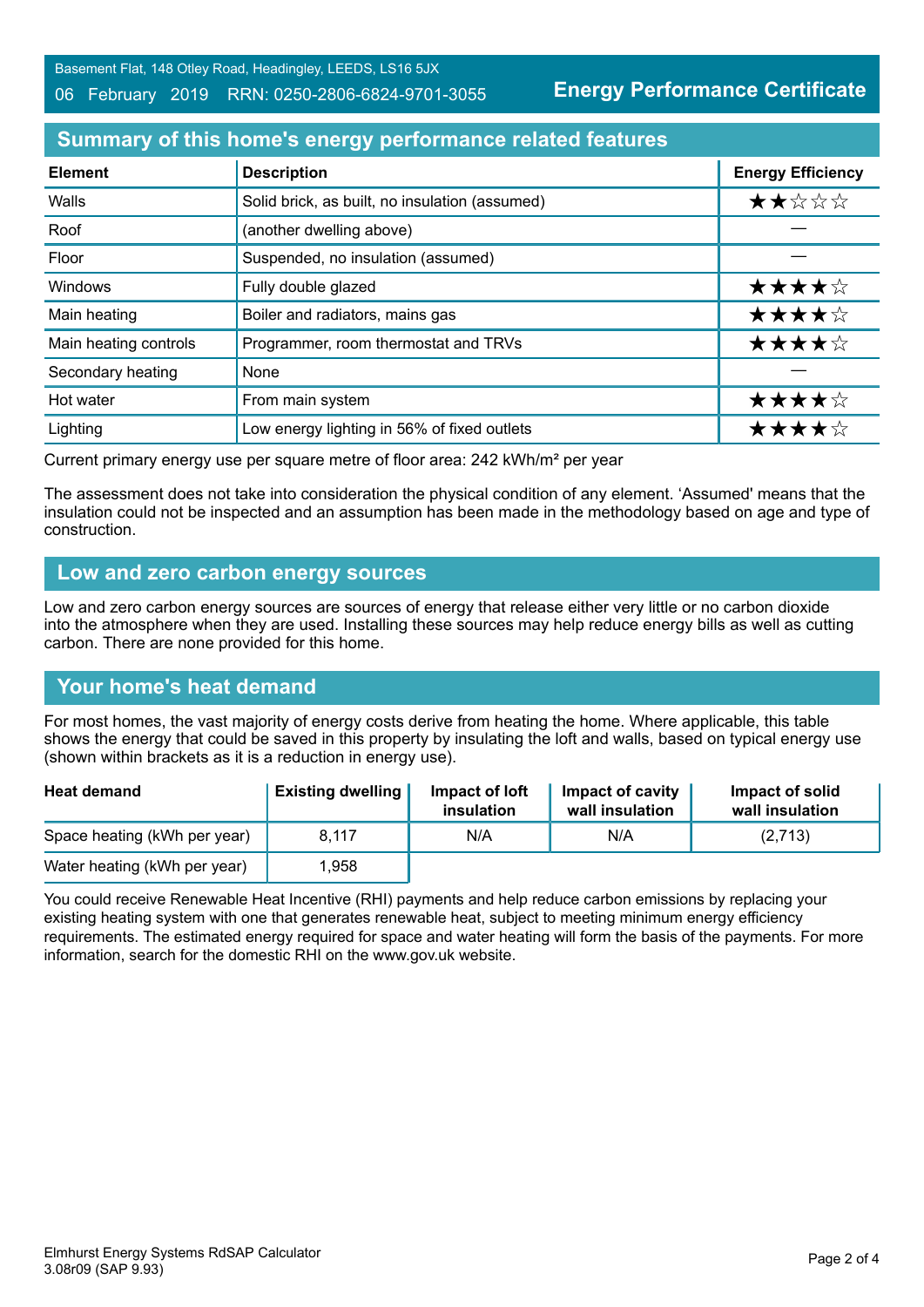Basement Flat, 148 Otley Road, Headingley, LEEDS, LS16 5JX

#### 06 February 2019 RRN: 0250-2806-6824-9701-3055

**Energy Performance Certificate**

## **Summary of this home's energy performance related features**

| <b>Element</b>        | <b>Description</b>                             | <b>Energy Efficiency</b> |
|-----------------------|------------------------------------------------|--------------------------|
| Walls                 | Solid brick, as built, no insulation (assumed) | ★★☆☆☆                    |
| Roof                  | (another dwelling above)                       |                          |
| Floor                 | Suspended, no insulation (assumed)             |                          |
| Windows               | Fully double glazed                            | ★★★★☆                    |
| Main heating          | Boiler and radiators, mains gas                | ★★★★☆                    |
| Main heating controls | Programmer, room thermostat and TRVs           | ★★★★☆                    |
| Secondary heating     | None                                           |                          |
| Hot water             | From main system                               | ★★★★☆                    |
| Lighting              | Low energy lighting in 56% of fixed outlets    | ★★★★☆                    |

Current primary energy use per square metre of floor area: 242 kWh/m² per year

The assessment does not take into consideration the physical condition of any element. 'Assumed' means that the insulation could not be inspected and an assumption has been made in the methodology based on age and type of construction.

#### **Low and zero carbon energy sources**

Low and zero carbon energy sources are sources of energy that release either very little or no carbon dioxide into the atmosphere when they are used. Installing these sources may help reduce energy bills as well as cutting carbon. There are none provided for this home.

### **Your home's heat demand**

For most homes, the vast majority of energy costs derive from heating the home. Where applicable, this table shows the energy that could be saved in this property by insulating the loft and walls, based on typical energy use (shown within brackets as it is a reduction in energy use).

| <b>Heat demand</b>           | <b>Existing dwelling</b> | Impact of loft<br>insulation | Impact of cavity<br>wall insulation | Impact of solid<br>wall insulation |
|------------------------------|--------------------------|------------------------------|-------------------------------------|------------------------------------|
| Space heating (kWh per year) | 8.117                    | N/A                          | N/A                                 | (2,713)                            |
| Water heating (kWh per year) | 1.958                    |                              |                                     |                                    |

You could receive Renewable Heat Incentive (RHI) payments and help reduce carbon emissions by replacing your existing heating system with one that generates renewable heat, subject to meeting minimum energy efficiency requirements. The estimated energy required for space and water heating will form the basis of the payments. For more information, search for the domestic RHI on the www.gov.uk website.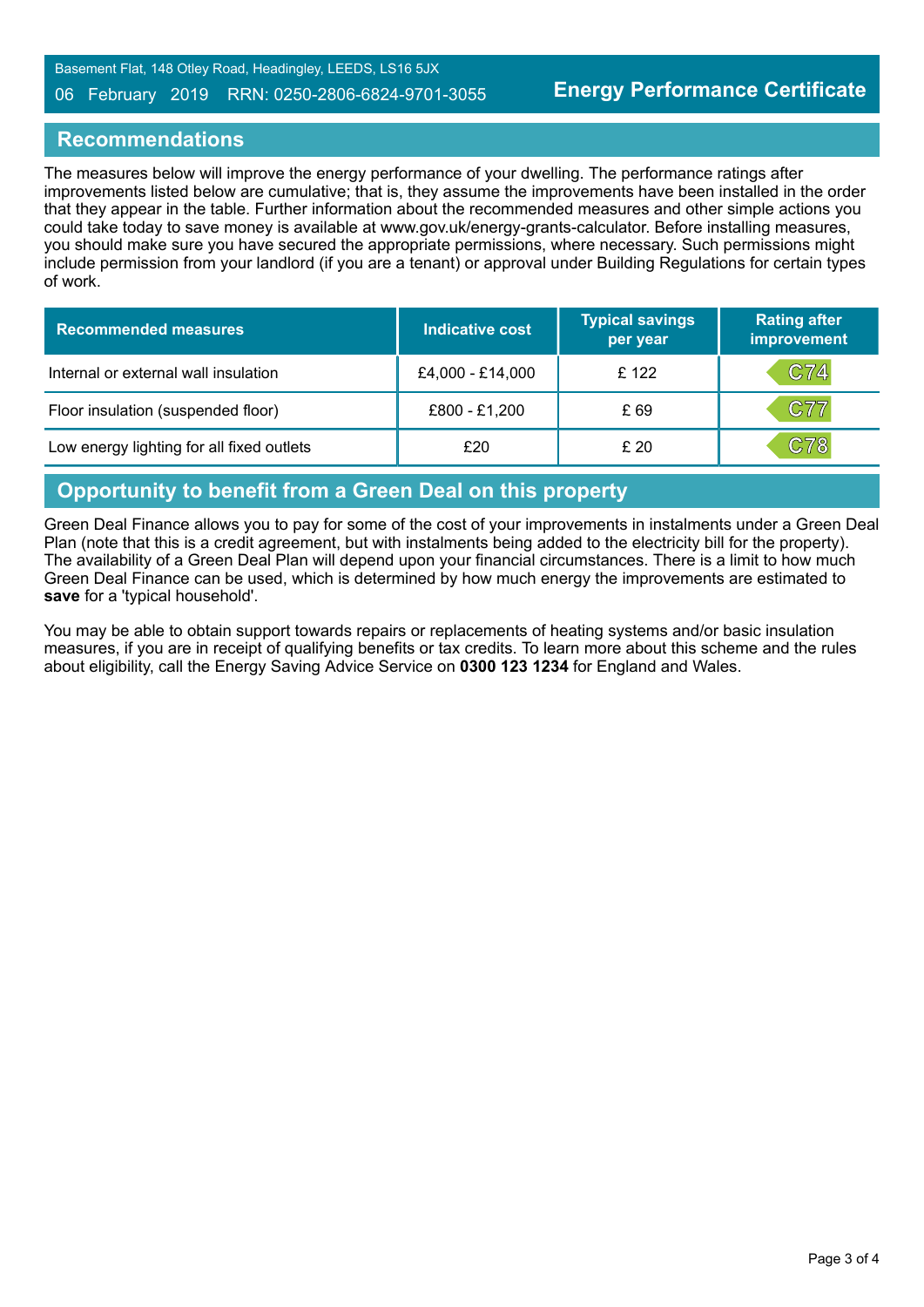Basement Flat, 148 Otley Road, Headingley, LEEDS, LS16 5JX

#### 06 February 2019 RRN: 0250-2806-6824-9701-3055

#### **Recommendations**

The measures below will improve the energy performance of your dwelling. The performance ratings after improvements listed below are cumulative; that is, they assume the improvements have been installed in the order that they appear in the table. Further information about the recommended measures and other simple actions you could take today to save money is available at www.gov.uk/energy-grants-calculator. Before installing measures, you should make sure you have secured the appropriate permissions, where necessary. Such permissions might include permission from your landlord (if you are a tenant) or approval under Building Regulations for certain types of work.

| <b>Recommended measures</b>               | Indicative cost  | <b>Typical savings</b><br>per year | <b>Rating after</b><br>improvement |
|-------------------------------------------|------------------|------------------------------------|------------------------------------|
| Internal or external wall insulation      | £4,000 - £14,000 | £122                               | C74                                |
| Floor insulation (suspended floor)        | £800 - £1,200    | £69                                | C77                                |
| Low energy lighting for all fixed outlets | £20              | £20                                | C78                                |

#### **Opportunity to benefit from a Green Deal on this property**

Green Deal Finance allows you to pay for some of the cost of your improvements in instalments under a Green Deal Plan (note that this is a credit agreement, but with instalments being added to the electricity bill for the property). The availability of a Green Deal Plan will depend upon your financial circumstances. There is a limit to how much Green Deal Finance can be used, which is determined by how much energy the improvements are estimated to **save** for a 'typical household'.

You may be able to obtain support towards repairs or replacements of heating systems and/or basic insulation measures, if you are in receipt of qualifying benefits or tax credits. To learn more about this scheme and the rules about eligibility, call the Energy Saving Advice Service on **0300 123 1234** for England and Wales.